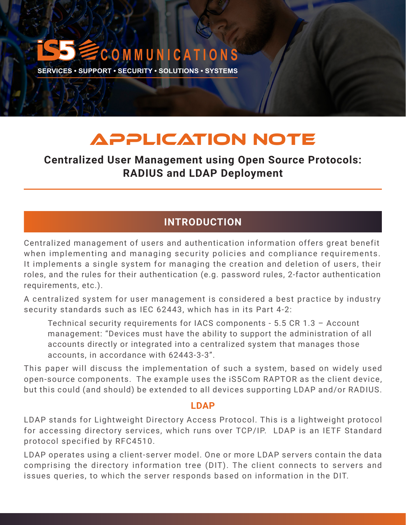# **C O M M U N I C A T I O N S SERVICES • SUPPORT • SECURITY • SOLUTIONS • SYSTEMS**

# APPLICATION NOTE

# **Centralized User Management using Open Source Protocols: RADIUS and LDAP Deployment**

# **INTRODUCTION**

Centralized management of users and authentication information offers great benefit when implementing and managing security policies and compliance requirements. It implements a single system for managing the creation and deletion of users, their roles, and the rules for their authentication (e.g. password rules, 2-factor authentication requirements, etc.).

A centralized system for user management is considered a best practice by industry security standards such as IEC 62443, which has in its Part 4-2:

Technical security requirements for IACS components - 5.5 CR 1.3 – Account management: "Devices must have the ability to support the administration of all accounts directly or integrated into a centralized system that manages those accounts, in accordance with 62443-3-3".

This paper will discuss the implementation of such a system, based on widely used open-source components. The example uses the iS5Com RAPTOR as the client device, but this could (and should) be extended to all devices supporting LDAP and/or RADIUS.

#### **LDAP**

LDAP stands for Lightweight Directory Access Protocol. This is a lightweight protocol for accessing directory services, which runs over TCP/IP. LDAP is an IETF Standard protocol specified by RFC4510.

LDAP operates using a client-server model. One or more LDAP servers contain the data comprising the directory information tree (DIT). The client connects to servers and issues queries, to which the server responds based on information in the DIT.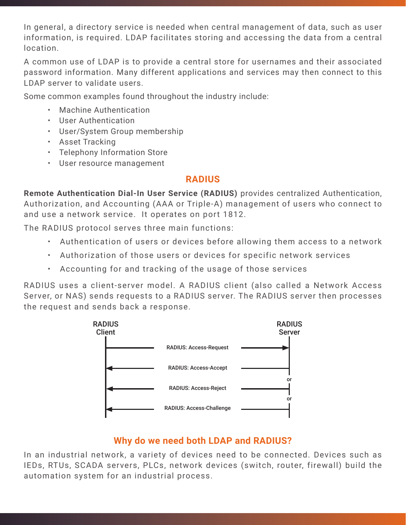In general, a directory service is needed when central management of data, such as user information, is required. LDAP facilitates storing and accessing the data from a central location.

A common use of LDAP is to provide a central store for usernames and their associated password information. Many different applications and services may then connect to this LDAP server to validate users.

Some common examples found throughout the industry include:

- Machine Authentication
- User Authentication
- User/System Group membership
- Asset Tracking
- Telephony Information Store
- User resource management

# **RADIUS**

**Remote Authentication Dial-In User Service (RADIUS)** provides centralized Authentication, Authorization, and Accounting (AAA or Triple-A) management of users who connect to and use a network service. It operates on port 1812.

The RADIUS protocol serves three main functions:

- Authentication of users or devices before allowing them access to a network
- Authorization of those users or devices for specific network services
- Accounting for and tracking of the usage of those services

RADIUS uses a client-server model. A RADIUS client (also called a Network Access Server, or NAS) sends requests to a RADIUS server. The RADIUS server then processes the request and sends back a response.



# **Why do we need both LDAP and RADIUS?**

In an industrial network, a variety of devices need to be connected. Devices such as IEDs, RTUs, SCADA servers, PLCs, network devices (switch, router, firewall) build the automation system for an industrial process.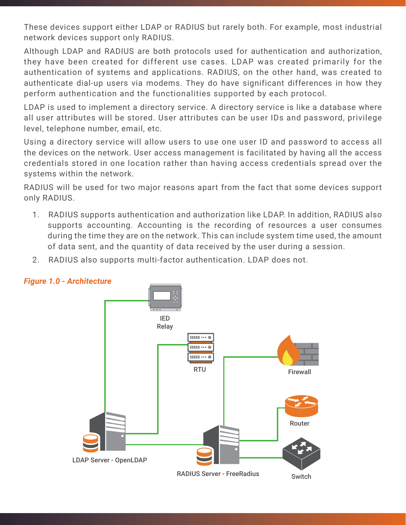These devices support either LDAP or RADIUS but rarely both. For example, most industrial network devices support only RADIUS.

Although LDAP and RADIUS are both protocols used for authentication and authorization, they have been created for different use cases. LDAP was created primarily for the authentication of systems and applications. RADIUS, on the other hand, was created to authenticate dial-up users via modems. They do have significant differences in how they perform authentication and the functionalities supported by each protocol.

LDAP is used to implement a directory service. A directory service is like a database where all user attributes will be stored. User attributes can be user IDs and password, privilege level, telephone number, email, etc.

Using a directory service will allow users to use one user ID and password to access all the devices on the network. User access management is facilitated by having all the access credentials stored in one location rather than having access credentials spread over the systems within the network.

RADIUS will be used for two major reasons apart from the fact that some devices support only RADIUS.

- 1. RADIUS supports authentication and authorization like LDAP. In addition, RADIUS also supports accounting. Accounting is the recording of resources a user consumes during the time they are on the network. This can include system time used, the amount of data sent, and the quantity of data received by the user during a session.
- 2. RADIUS also supports multi-factor authentication. LDAP does not.



#### *Figure 1.0 - Architecture*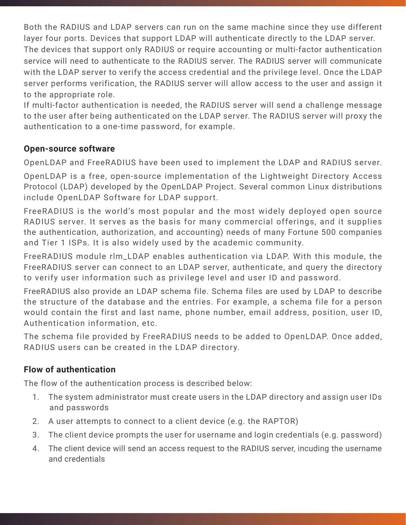Both the RADIUS and LDAP servers can run on the same machine since they use different layer four ports. Devices that support LDAP will authenticate directly to the LDAP server. The devices that support only RADIUS or require accounting or multi-factor authentication service will need to authenticate to the RADIUS server. The RADIUS server will communicate with the LDAP server to verify the access credential and the privilege level. Once the LDAP server performs verification, the RADIUS server will allow access to the user and assign it to the appropriate role.

If multi-factor authentication is needed, the RADIUS server will send a challenge message to the user after being authenticated on the LDAP server. The RADIUS server will proxy the authentication to a one-time password, for example.

## **Open-source software**

OpenLDAP and FreeRADIUS have been used to implement the LDAP and RADIUS server.

OpenLDAP is a free, open-source implementation of the Lightweight Directory Access Protocol (LDAP) developed by the OpenLDAP Project. Several common Linux distributions include OpenLDAP Software for LDAP support.

FreeRADIUS is the world's most popular and the most widely deployed open source RADIUS server. It serves as the basis for many commercial offerings, and it supplies the authentication, authorization, and accounting) needs of many Fortune 500 companies and Tier 1 ISPs. It is also widely used by the academic community.

FreeRADIUS module rlm\_LDAP enables authentication via LDAP. With this module, the FreeRADIUS server can connect to an LDAP server, authenticate, and query the directory to verify user information such as privilege level and user ID and password.

FreeRADIUS also provide an LDAP schema file. Schema files are used by LDAP to describe the structure of the database and the entries. For example, a schema file for a person would contain the first and last name, phone number, email address, position, user ID, Authentication information, etc.

The schema file provided by FreeRADIUS needs to be added to OpenLDAP. Once added, RADIUS users can be created in the LDAP directory.

# **Flow of authentication**

The flow of the authentication process is described below:

- 1. The system administrator must create users in the LDAP directory and assign user IDs and passwords
- 2. A user attempts to connect to a client device (e.g. the RAPTOR)
- 3. The client device prompts the user for username and login credentials (e.g. password)
- 4. The client device will send an access request to the RADIUS server, incuding the username and credentials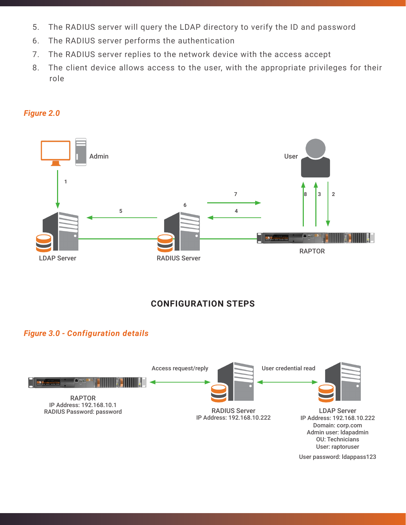- 5. The RADIUS server will query the LDAP directory to verify the ID and password
- 6. The RADIUS server performs the authentication
- 7. The RADIUS server replies to the network device with the access accept
- 8. The client device allows access to the user, with the appropriate privileges for their role



#### *Figure 2.0*

## **CONFIGURATION STEPS**

#### *Figure 3.0 - Configuration details*

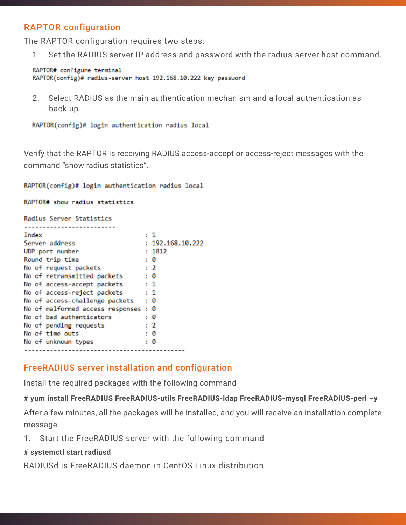## RAPTOR configuration

The RAPTOR configuration requires two steps:

1. Set the RADIUS server IP address and password with the radius-server host command.

RAPTOR# configure terminal RAPTOR(config)# radius-server host 192.168.10.222 key password

 2. Select RADIUS as the main authentication mechanism and a local authentication as back-up

RAPTOR(config)# login authentication radius local

Verify that the RAPTOR is receiving RADIUS access-accept or access-reject messages with the command "show radius statistics".

RAPTOR(config)# login authentication radius local

RAPTOR# show radius statistics

#### Radius Server Statistics

| Index                            |           | : 1              |
|----------------------------------|-----------|------------------|
| Server address                   |           | : 192.168.10.222 |
| UDP port number                  |           | : 1812           |
| Round trip time                  |           | : 0              |
| No of request packets            |           | $\cdot$ 2        |
| No of retransmitted packets      | : 0       |                  |
| No of access-accept packets      | $\pm$ 1   |                  |
| No of access-reject packets      | $\cdot$ 1 |                  |
| No of access-challenge packets   |           | : 0              |
| No of malformed access responses |           | : 0              |
| No of bad authenticators         |           | : 0              |
| No of pending requests           |           | $\cdot$ 2        |
| No of time outs                  |           | : 0              |
| No of unknown types              |           | : 0              |
|                                  |           |                  |

#### FreeRADIUS server installation and configuration

Install the required packages with the following command

#### **# yum install FreeRADIUS FreeRADIUS-utils FreeRADIUS-ldap FreeRADIUS-mysql FreeRADIUS-perl –y**

After a few minutes, all the packages will be installed, and you will receive an installation complete message.

1. Start the FreeRADIUS server with the following command

#### **# systemctl start radiusd**

RADIUSd is FreeRADIUS daemon in CentOS Linux distribution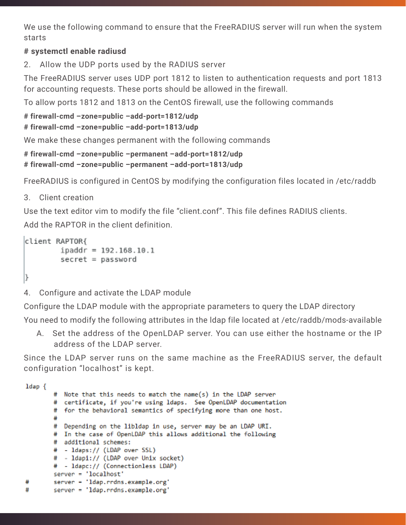We use the following command to ensure that the FreeRADIUS server will run when the system starts

#### **# systemctl enable radiusd**

2. Allow the UDP ports used by the RADIUS server

The FreeRADIUS server uses UDP port 1812 to listen to authentication requests and port 1813 for accounting requests. These ports should be allowed in the firewall.

To allow ports 1812 and 1813 on the CentOS firewall, use the following commands

```
# firewall-cmd –zone=public –add-port=1812/udp
```

```
# firewall-cmd –zone=public –add-port=1813/udp
```
We make these changes permanent with the following commands

```
# firewall-cmd –zone=public –permanent –add-port=1812/udp
# firewall-cmd –zone=public –permanent –add-port=1813/udp
```
FreeRADIUS is configured in CentOS by modifying the configuration files located in /etc/raddb

#### 3. Client creation

Use the text editor vim to modify the file "client.conf". This file defines RADIUS clients. Add the RAPTOR in the client definition.

```
client RAPTOR{
       ipaddr = 192.168.10.1secret = password|}
```
4. Configure and activate the LDAP module

Configure the LDAP module with the appropriate parameters to query the LDAP directory You need to modify the following attributes in the ldap file located at /etc/raddb/mods-available

 A. Set the address of the OpenLDAP server. You can use either the hostname or the IP address of the LDAP server.

Since the LDAP server runs on the same machine as the FreeRADIUS server, the default configuration "localhost" is kept.

```
ldap {
       # Note that this needs to match the name(s) in the LDAP server
       # certificate, if you're using ldaps. See OpenLDAP documentation
       # for the behavioral semantics of specifying more than one host.
       # Depending on the libldap in use, server may be an LDAP URI.
       # In the case of OpenLDAP this allows additional the following
       # additional schemes:
       # - ldaps:// (LDAP over SSL)
       # - ldapi:// (LDAP over Unix socket)
       # - ldapc:// (Connectionless LDAP)
       server = 'localhost'
#
       server = 'ldap.rrdns.example.org'
#
       server = 'ldap.rrdns.example.org'
```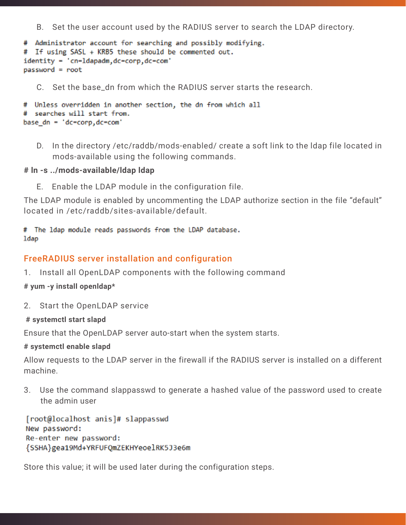B. Set the user account used by the RADIUS server to search the LDAP directory.

```
# Administrator account for searching and possibly modifying.
# If using SASL + KRB5 these should be commented out.
identity - 'cn-ldapadm, dc-corp, dc-com'
password = root
```
C. Set the base dn from which the RADIUS server starts the research.

```
# Unless overridden in another section, the dn from which all
# searches will start from.
base dn = 'dc-corp,dc-com'
```
 D. In the directory /etc/raddb/mods-enabled/ create a soft link to the ldap file located in mods-available using the following commands.

#### **# ln -s ../mods-available/ldap ldap**

E. Enable the LDAP module in the configuration file.

The LDAP module is enabled by uncommenting the LDAP authorize section in the file "default" located in /etc/raddb/sites-available/default.

#### # The ldap module reads passwords from the LDAP database. ldap

#### FreeRADIUS server installation and configuration

1. Install all OpenLDAP components with the following command

**# yum -y install openldap\***

- 2. Start the OpenLDAP service
- **# systemctl start slapd**

Ensure that the OpenLDAP server auto-start when the system starts.

**# systemctl enable slapd**

Allow requests to the LDAP server in the firewall if the RADIUS server is installed on a different machine.

3. Use the command slappasswd to generate a hashed value of the password used to create the admin user

[root@localhost anis]# slappasswd New password: Re-enter new password: {SSHA}gea19Md+YRFUFQmZEKHYeoelRK5J3e6m

Store this value; it will be used later during the configuration steps.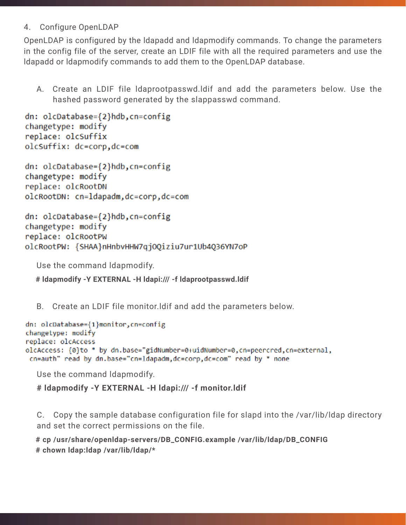#### 4. Configure OpenLDAP

OpenLDAP is configured by the ldapadd and ldapmodify commands. To change the parameters in the config file of the server, create an LDIF file with all the required parameters and use the ldapadd or ldapmodify commands to add them to the OpenLDAP database.

 A. Create an LDIF file ldaprootpasswd.ldif and add the parameters below. Use the hashed password generated by the slappasswd command.

```
dn: olcDatabase={2}hdb,cn=config
changetype: modify
replace: olcSuffix
olcSuffix: dc=corp,dc=com
```

```
dn: olcDatabase={2}hdb,cn=config
changetype: modify
replace: olcRootDN
olcRootDN: cn=ldapadm,dc=corp,dc=com
```

```
dn: olcDatabase={2}hdb,cn=config
changetype: modify
replace: olcRootPW
olcRootPW: {SHAA}nHnbvHHW7qjOQiziu7ur1Ub4Q36YN7oP
```
Use the command ldapmodify.

 **# ldapmodify -Y EXTERNAL -H ldapi:/// -f ldaprootpasswd.ldif**

B. Create an LDIF file monitor.ldif and add the parameters below.

```
dn: olcDatabase={1}monitor,cn=config
changetype: modify
replace: olcAccess
olcAccess: {0}to * by dn.base="gidNumber=0+uidNumber=0,cn=peercred,cn=external,
 cn=auth" read by dn.base="cn=1dapadm,dc=corp,dc=com" read by * none
```
Use the command ldapmodify.

**# ldapmodify -Y EXTERNAL -H ldapi:/// -f monitor.ldif**

 C. Copy the sample database configuration file for slapd into the /var/lib/ldap directory and set the correct permissions on the file.

 **# cp /usr/share/openldap-servers/DB\_CONFIG.example /var/lib/ldap/DB\_CONFIG # chown ldap:ldap /var/lib/ldap/\***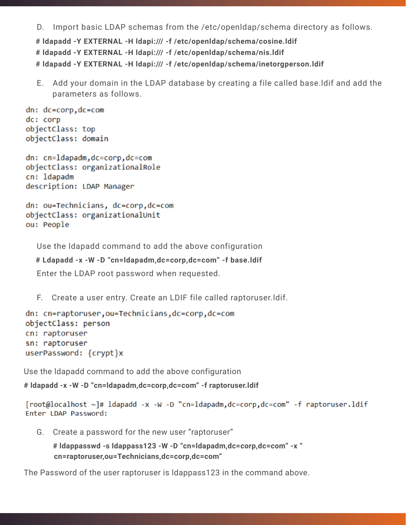D. Import basic LDAP schemas from the /etc/openldap/schema directory as follows.

```
  # ldapadd -Y EXTERNAL -H ldapi:/// -f /etc/openldap/schema/cosine.ldif 
  # ldapadd -Y EXTERNAL -H ldapi:/// -f /etc/openldap/schema/nis.ldif
  # ldapadd -Y EXTERNAL -H ldapi:/// -f /etc/openldap/schema/inetorgperson.ldif
```
 E. Add your domain in the LDAP database by creating a file called base.ldif and add the parameters as follows.

```
dn: dc=cop, dc=comdc: corp
objectClass: top
objectClass: domain
```

```
dn: cn=ldapadm,dc=corp,dc=com
objectClass: organizationalRole
cn: ldapadm
description: LDAP Manager
```

```
dn: ou=Technicians, dc=corp,dc=com
objectClass: organizationalUnit
ou: People
```
Use the ldapadd command to add the above configuration

```
  # Ldapadd -x -W -D "cn=ldapadm,dc=corp,dc=com" -f base.ldif
```
Enter the LDAP root password when requested.

F. Create a user entry. Create an LDIF file called raptoruser.ldif.

```
dn: cn=raptoruser, ou=Technicians, dc=corp, dc=com
objectClass: person
cn: raptoruser
sn: raptoruser
userPassword: {crypt}x
```
Use the ldapadd command to add the above configuration

**# ldapadd -x -W -D "cn=ldapadm,dc=corp,dc=com" -f raptoruser.ldif**

```
[root@localhost ~]# ldapadd -x -W -D "cn=ldapadm,dc=corp,dc=com" -f raptoruser.ldif
Enter LDAP Password:
```
G. Create a password for the new user "raptoruser"

```
  # ldappasswd -s ldappass123 -W -D "cn=ldapadm,dc=corp,dc=com" -x "
 cn=raptoruser,ou=Technicians,dc=corp,dc=com"
```
The Password of the user raptoruser is ldappass123 in the command above.